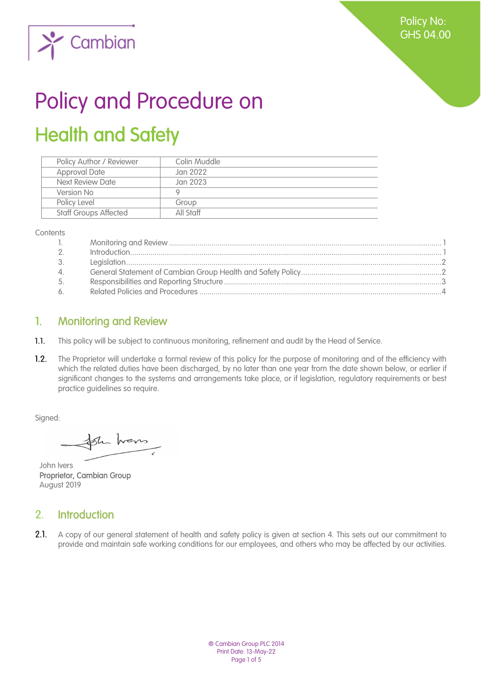Policy No: GHS 04.00



# Policy and Procedure on Health and Safety

| Policy Author / Reviewer     | Colin Muddle |
|------------------------------|--------------|
| <b>Approval Date</b>         | Jan 2022     |
| Next Review Date             | Jan 2023     |
| Version No                   |              |
| Policy Level                 | Group        |
| <b>Staff Groups Affected</b> | All Staff    |
|                              |              |

**Contents** 

| $\mathbb{L}$    |  |
|-----------------|--|
| $\overline{2}$  |  |
| 3.              |  |
| $\mathcal{A}$ . |  |
| 5.              |  |
| 6               |  |

## <span id="page-0-0"></span>1. Monitoring and Review

- $1.1.$ This policy will be subject to continuous monitoring, refinement and audit by the Head of Service.
- $1.2.$ The Proprietor will undertake a formal review of this policy for the purpose of monitoring and of the efficiency with which the related duties have been discharged, by no later than one year from the date shown below, or earlier if significant changes to the systems and arrangements take place, or if legislation, regulatory requirements or best practice guidelines so require.

Signed:

the house

John Ivers Proprietor, Cambian Group August 2019

## <span id="page-0-1"></span>2. Introduction

 $2.1.$ A copy of our general statement of health and safety policy is given at section 4. This sets out our commitment to provide and maintain safe working conditions for our employees, and others who may be affected by our activities.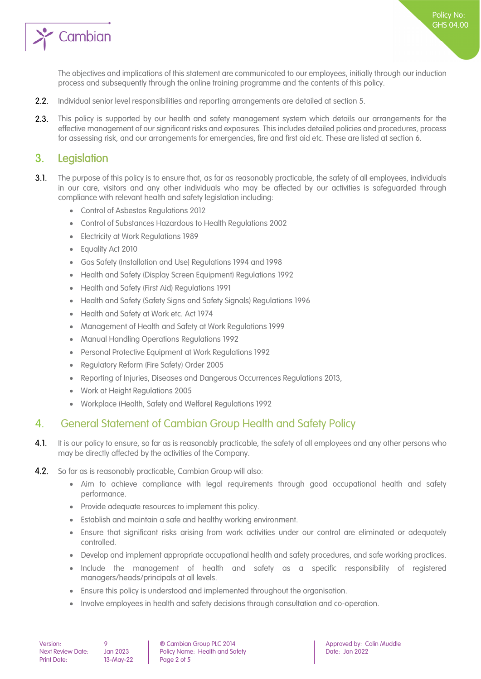

The objectives and implications of this statement are communicated to our employees, initially through our induction process and subsequently through the online training programme and the contents of this policy.

Policy No: GHS 04.00

- $2.2.$ Individual senior level responsibilities and reporting arrangements are detailed at section 5.
- $2.3.$ This policy is supported by our health and safety management system which details our arrangements for the effective management of our significant risks and exposures. This includes detailed policies and procedures, process for assessing risk, and our arrangements for emergencies, fire and first aid etc. These are listed at section 6.

### <span id="page-1-0"></span>3. Legislation

- $3.1.$ The purpose of this policy is to ensure that, as far as reasonably practicable, the safety of all employees, individuals in our care, visitors and any other individuals who may be affected by our activities is safeguarded through compliance with relevant health and safety legislation including:
	- Control of Asbestos Regulations 2012
	- Control of Substances Hazardous to Health Regulations 2002
	- Electricity at Work Regulations 1989
	- Equality Act 2010
	- Gas Safety (Installation and Use) Regulations 1994 and 1998
	- Health and Safety (Display Screen Equipment) Regulations 1992
	- Health and Safety (First Aid) Regulations 1991
	- Health and Safety (Safety Signs and Safety Signals) Regulations 1996
	- Health and Safety at Work etc. Act 1974
	- Management of Health and Safety at Work Regulations 1999
	- Manual Handling Operations Regulations 1992
	- Personal Protective Equipment at Work Regulations 1992
	- Regulatory Reform (Fire Safety) Order 2005
	- Reporting of Injuries, Diseases and Dangerous Occurrences Regulations 2013,
	- Work at Height Regulations 2005
	- Workplace (Health, Safety and Welfare) Regulations 1992

#### <span id="page-1-1"></span>4. General Statement of Cambian Group Health and Safety Policy

- $4.1.$ It is our policy to ensure, so far as is reasonably practicable, the safety of all employees and any other persons who may be directly affected by the activities of the Company.
- $4.2.$ So far as is reasonably practicable, Cambian Group will also:
	- Aim to achieve compliance with legal requirements through good occupational health and safety performance.
	- Provide adequate resources to implement this policy.
	- Establish and maintain a safe and healthy working environment.
	- Ensure that significant risks arising from work activities under our control are eliminated or adequately controlled.
	- Develop and implement appropriate occupational health and safety procedures, and safe working practices.
	- Include the management of health and safety as a specific responsibility of registered managers/heads/principals at all levels.
	- Ensure this policy is understood and implemented throughout the organisation.
	- Involve employees in health and safety decisions through consultation and co-operation.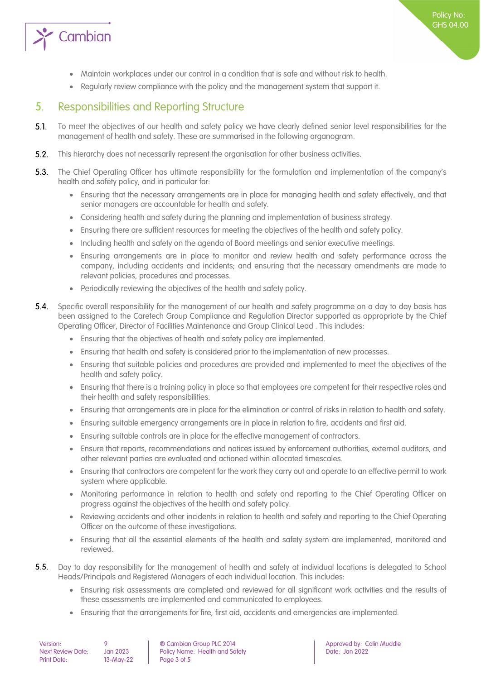

- Maintain workplaces under our control in a condition that is safe and without risk to health.
- <span id="page-2-0"></span>• Regularly review compliance with the policy and the management system that support it.

## 5. Responsibilities and Reporting Structure

- $5.1.$ To meet the objectives of our health and safety policy we have clearly defined senior level responsibilities for the management of health and safety. These are summarised in the following organogram.
- $5.2.$ This hierarchy does not necessarily represent the organisation for other business activities.
- $5.3.$ The Chief Operating Officer has ultimate responsibility for the formulation and implementation of the company's health and safety policy, and in particular for:
	- Ensuring that the necessary arrangements are in place for managing health and safety effectively, and that senior managers are accountable for health and safety.
	- Considering health and safety during the planning and implementation of business strategy.
	- Ensuring there are sufficient resources for meeting the objectives of the health and safety policy.
	- Including health and safety on the agenda of Board meetings and senior executive meetings.
	- Ensuring arrangements are in place to monitor and review health and safety performance across the company, including accidents and incidents; and ensuring that the necessary amendments are made to relevant policies, procedures and processes.
	- Periodically reviewing the objectives of the health and safety policy.
- $54$ Specific overall responsibility for the management of our health and safety programme on a day to day basis has been assigned to the Caretech Group Compliance and Regulation Director supported as appropriate by the Chief Operating Officer, Director of Facilities Maintenance and Group Clinical Lead . This includes:
	- Ensuring that the objectives of health and safety policy are implemented.
	- Ensuring that health and safety is considered prior to the implementation of new processes.
	- Ensuring that suitable policies and procedures are provided and implemented to meet the objectives of the health and safety policy.
	- Ensuring that there is a training policy in place so that employees are competent for their respective roles and their health and safety responsibilities.
	- Ensuring that arrangements are in place for the elimination or control of risks in relation to health and safety.
	- Ensuring suitable emergency arrangements are in place in relation to fire, accidents and first aid.
	- Ensuring suitable controls are in place for the effective management of contractors.
	- Ensure that reports, recommendations and notices issued by enforcement authorities, external auditors, and other relevant parties are evaluated and actioned within allocated timescales.
	- Ensuring that contractors are competent for the work they carry out and operate to an effective permit to work system where applicable.
	- Monitoring performance in relation to health and safety and reporting to the Chief Operating Officer on progress against the objectives of the health and safety policy.
	- Reviewing accidents and other incidents in relation to health and safety and reporting to the Chief Operating Officer on the outcome of these investigations.
	- Ensuring that all the essential elements of the health and safety system are implemented, monitored and reviewed.
- $5.5.$ Day to day responsibility for the management of health and safety at individual locations is delegated to School Heads/Principals and Registered Managers of each individual location. This includes:
	- Ensuring risk assessments are completed and reviewed for all significant work activities and the results of these assessments are implemented and communicated to employees.
	- Ensuring that the arrangements for fire, first aid, accidents and emergencies are implemented.

| Version:           |  |
|--------------------|--|
| Next Review Date:  |  |
| <b>Print Date:</b> |  |

 $13-May-22$  Page 3 of 5

Version: 9 ® Cambian Group PLC 2014 Approved by: Colin Muddle Policy Name: Health and Safety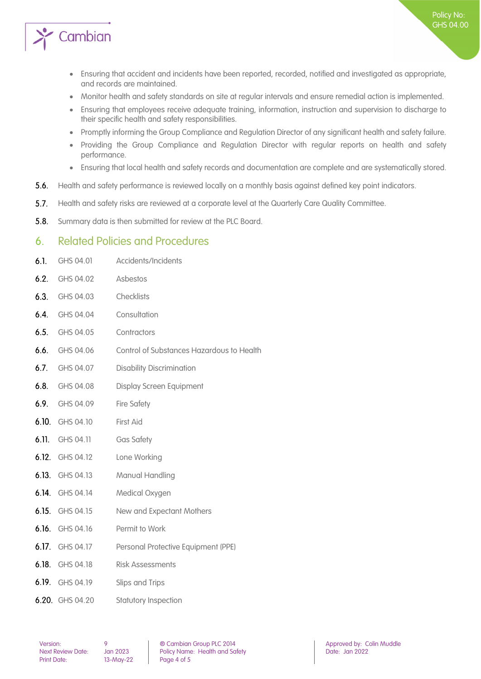

- Ensuring that accident and incidents have been reported, recorded, notified and investigated as appropriate, and records are maintained.
- Monitor health and safety standards on site at regular intervals and ensure remedial action is implemented.
- Ensuring that employees receive adequate training, information, instruction and supervision to discharge to their specific health and safety responsibilities.
- Promptly informing the Group Compliance and Regulation Director of any significant health and safety failure.
- Providing the Group Compliance and Regulation Director with regular reports on health and safety performance.
- Ensuring that local health and safety records and documentation are complete and are systematically stored.
- $5.6.$ Health and safety performance is reviewed locally on a monthly basis against defined key point indicators.
- $5.7.$ Health and safety risks are reviewed at a corporate level at the Quarterly Care Quality Committee.
- $5.8.$ Summary data is then submitted for review at the PLC Board.

#### <span id="page-3-0"></span>6. Related Policies and Procedures

| GHS 04.01          | Accidents/Incidents                       |
|--------------------|-------------------------------------------|
| GHS 04.02          | Asbestos                                  |
| GHS 04.03          | Checklists                                |
| GHS 04.04          | Consultation                              |
| GHS 04.05          | Contractors                               |
| GHS 04.06          | Control of Substances Hazardous to Health |
| GHS 04.07          | <b>Disability Discrimination</b>          |
| GHS 04.08          | <b>Display Screen Equipment</b>           |
| GHS 04.09          | <b>Fire Safety</b>                        |
| GHS 04.10          | First Aid                                 |
| GHS 04.11          | <b>Gas Safety</b>                         |
| 6.12.<br>GHS 04.12 | Lone Working                              |
| 6.13.<br>GHS 04.13 | Manual Handling                           |
| 6.14.<br>GHS 04.14 | Medical Oxygen                            |
| 6.15.<br>GHS 04.15 | New and Expectant Mothers                 |
| 6.16.<br>GHS 04.16 | Permit to Work                            |
| 6.17. GHS 04.17    | Personal Protective Equipment (PPE)       |
| 6.18. GHS 04.18    | <b>Risk Assessments</b>                   |
| 6.19. GHS 04.19    | Slips and Trips                           |
| 6.20. GHS 04.20    | Statutory Inspection                      |
|                    |                                           |